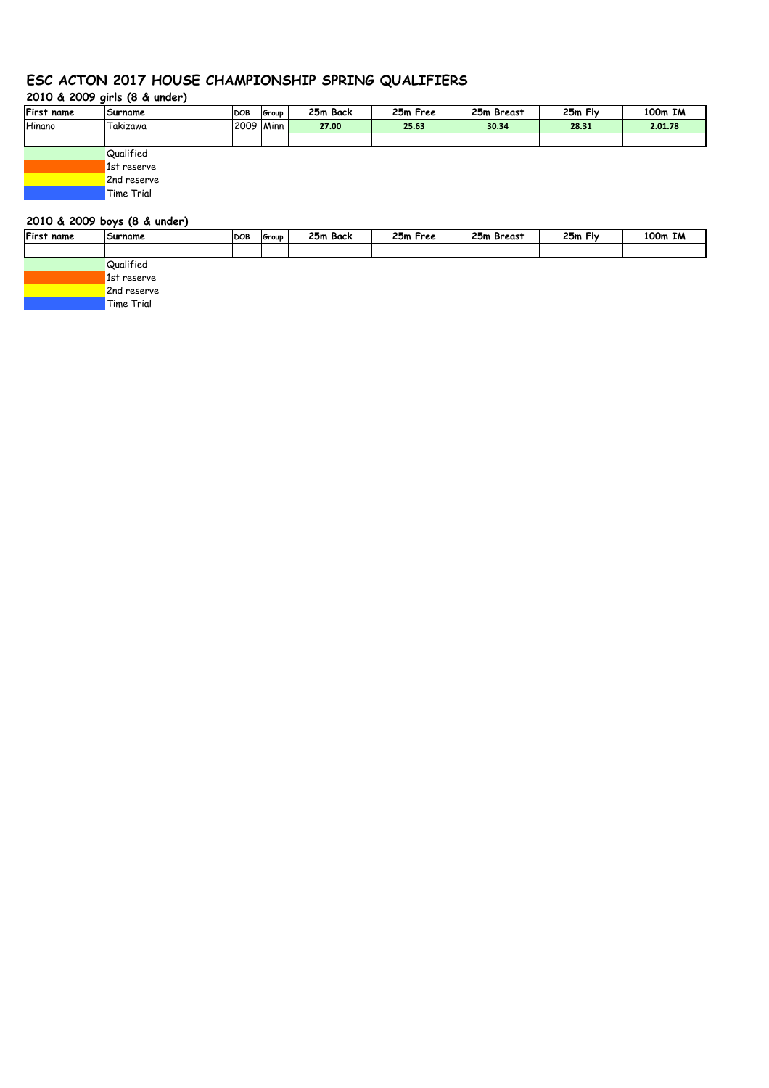# **ESC ACTON 2017 HOUSE CHAMPIONSHIP SPRING QUALIFIERS**

# **2010 & 2009 girls (8 & under)**

| <b>First name</b> | Surname   | <b>DOB</b>  | Group | 25m Back | 25m Free | 25m Breast | 25m Fly | 100m IM |
|-------------------|-----------|-------------|-------|----------|----------|------------|---------|---------|
| Hinano            | 'Takizawa | 2009   Minn |       | 27.00    | 25.63    | 30.34      | 28.31   | 2.01.78 |
|                   |           |             |       |          |          |            |         |         |
|                   | Qualified |             |       |          |          |            |         |         |

1st reserve 2nd reserve

Time Trial

# **2010 & 2009 boys (8 & under)**

| First name | Surname     | <b>DOB</b> | Group | 25m Back | 25m Free | 25m Breast | 25m Fly | 100m IM |
|------------|-------------|------------|-------|----------|----------|------------|---------|---------|
|            |             |            |       |          |          |            |         |         |
|            | Qualified   |            |       |          |          |            |         |         |
|            | 1st reserve |            |       |          |          |            |         |         |
|            | 2nd reserve |            |       |          |          |            |         |         |
|            | Time Trial  |            |       |          |          |            |         |         |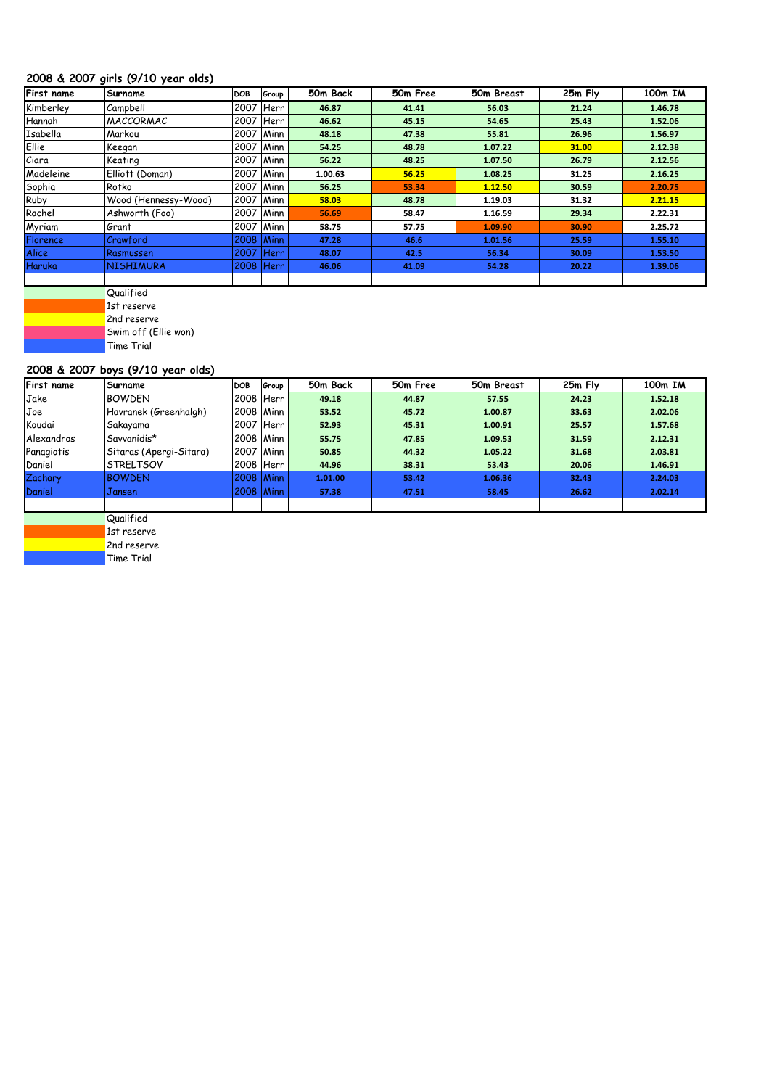## **2008 & 2007 girls (9/10 year olds)**

| First name   | Surname              | DOB       | Group  | 50m Back | 50m Free | 50m Breast | 25m Fly | 100m IM |
|--------------|----------------------|-----------|--------|----------|----------|------------|---------|---------|
| Kimberley    | Campbell             | 2007      | Herr   | 46.87    | 41.41    | 56.03      | 21.24   | 1.46.78 |
| Hannah       | <b>IMACCORMAC</b>    | 2007      | Herr   | 46.62    | 45.15    | 54.65      | 25.43   | 1.52.06 |
| Isabella     | Markou               | 2007 Minn |        | 48.18    | 47.38    | 55.81      | 26.96   | 1.56.97 |
| Ellie        | Keegan               | 2007 Minn |        | 54.25    | 48.78    | 1.07.22    | 31.00   | 2.12.38 |
| Ciara        | Keating              | 2007      | Minn   | 56.22    | 48.25    | 1.07.50    | 26.79   | 2.12.56 |
| Madeleine    | Elliott (Doman)      | 2007      | Minn   | 1.00.63  | 56.25    | 1.08.25    | 31.25   | 2.16.25 |
| Sophia       | Rotko                | 2007      | Minn   | 56.25    | 53.34    | 1.12.50    | 30.59   | 2.20.75 |
| Ruby         | Wood (Hennessy-Wood) | 2007      | Minn   | 58.03    | 48.78    | 1.19.03    | 31.32   | 2.21.15 |
| Rachel       | Ashworth (Foo)       | 2007      | Minn   | 56.69    | 58.47    | 1.16.59    | 29.34   | 2.22.31 |
| Myriam       | Grant                | 2007      | Minn   | 58.75    | 57.75    | 1.09.90    | 30.90   | 2.25.72 |
| Florence     | Crawford             | 2008 Minn |        | 47.28    | 46.6     | 1.01.56    | 25.59   | 1.55.10 |
| <b>Alice</b> | Rasmussen            | 2007      | AHerr/ | 48.07    | 42.5     | 56.34      | 30.09   | 1.53.50 |
| Haruka       | <b>NISHIMURA</b>     | 2008 Herr |        | 46.06    | 41.09    | 54.28      | 20.22   | 1.39.06 |
|              |                      |           |        |          |          |            |         |         |

**Qualified** 

1st reserve

2nd reserve

Swim off (Ellie won)

Time Trial

# **2008 & 2007 boys (9/10 year olds)**

| First name | Surname                 | DOB.        | Group | 50m Back | 50m Free | 50m Breast | 25m Fly | 100m IM |
|------------|-------------------------|-------------|-------|----------|----------|------------|---------|---------|
| Jake       | <b>BOWDEN</b>           | 2008  Herr  |       | 49.18    | 44.87    | 57.55      | 24.23   | 1.52.18 |
| Joe        | Havranek (Greenhalgh)   | 2008   Minn |       | 53.52    | 45.72    | 1.00.87    | 33.63   | 2.02.06 |
| Koudai     | Sakayama                | 2007  Herr  |       | 52.93    | 45.31    | 1.00.91    | 25.57   | 1.57.68 |
| Alexandros | Savvanidis*             | 2008   Minn |       | 55.75    | 47.85    | 1.09.53    | 31.59   | 2.12.31 |
| Panagiotis | Sitaras (Apergi-Sitara) | 2007   Minn |       | 50.85    | 44.32    | 1.05.22    | 31.68   | 2.03.81 |
| Daniel     | ISTRELTSOV              | 2008  Herr  |       | 44.96    | 38.31    | 53.43      | 20.06   | 1.46.91 |
| Zachary    | <b>BOWDEN</b>           | $2008$ Minn |       | 1.01.00  | 53.42    | 1.06.36    | 32.43   | 2.24.03 |
| Daniel     | Jansen                  | 2008 Minn   |       | 57.38    | 47.51    | 58.45      | 26.62   | 2.02.14 |
|            |                         |             |       |          |          |            |         |         |
|            | $\cdots$<br>$\sim$      |             |       |          |          |            |         |         |

**Qualified** 

1st reserve

2nd reserve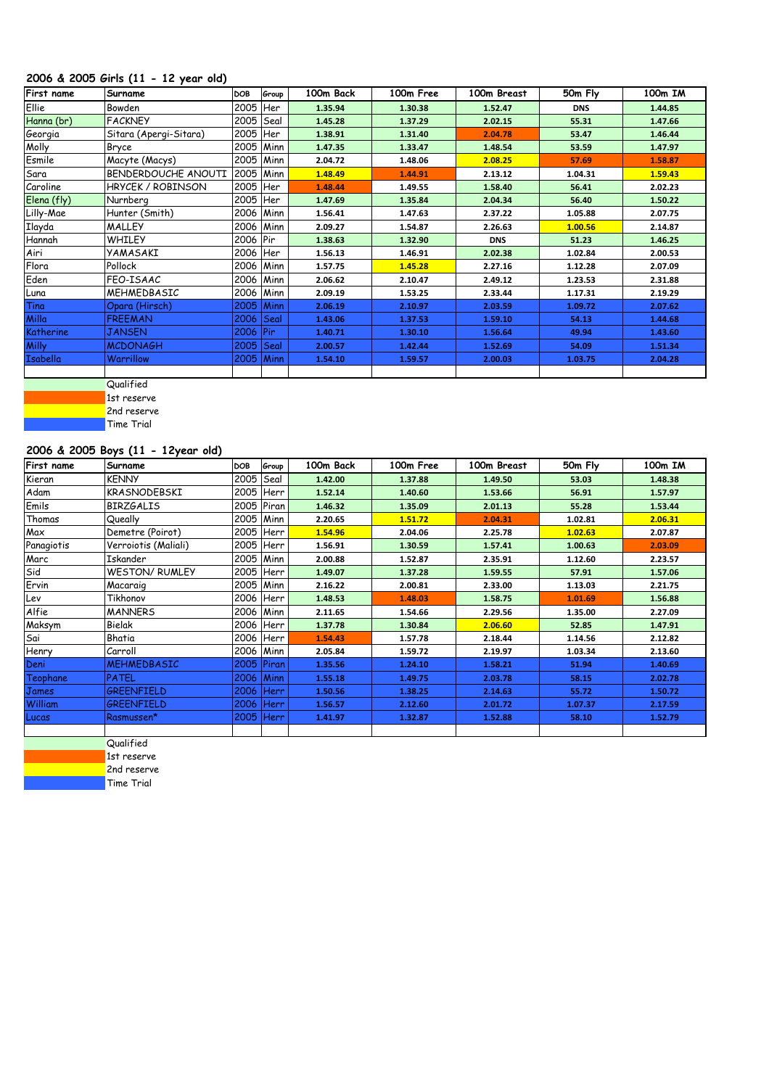## **2006 & 2005 Girls (11 - 12 year old)**

| First name      | Surname                  | <b>DOB</b> | Group | 100m Back | 100m Free | 100m Breast | 50m Fly    | 100m IM |
|-----------------|--------------------------|------------|-------|-----------|-----------|-------------|------------|---------|
| Ellie           | Bowden                   | 2005       | Her   | 1.35.94   | 1.30.38   | 1.52.47     | <b>DNS</b> | 1.44.85 |
| Hanna (br)      | <b>FACKNEY</b>           | 2005       | Sea   | 1.45.28   | 1.37.29   | 2.02.15     | 55.31      | 1.47.66 |
| Georgia         | Sitara (Apergi-Sitara)   | 2005       | Her   | 1.38.91   | 1.31.40   | 2.04.78     | 53.47      | 1.46.44 |
| Molly           | Bryce                    | 2005       | Minn  | 1.47.35   | 1.33.47   | 1.48.54     | 53.59      | 1.47.97 |
| Esmile          | Macyte (Macys)           | 2005       | Minn  | 2.04.72   | 1.48.06   | 2.08.25     | 57.69      | 1.58.87 |
| Sara            | BENDERDOUCHE ANOUTI      | 2005       | Minn  | 1.48.49   | 1.44.91   | 2.13.12     | 1.04.31    | 1.59.43 |
| Caroline        | <b>HRYCEK / ROBINSON</b> | 2005       | Her   | 1.48.44   | 1.49.55   | 1.58.40     | 56.41      | 2.02.23 |
| Elena (fly)     | Nurnberg                 | 2005       | Her   | 1.47.69   | 1.35.84   | 2.04.34     | 56.40      | 1.50.22 |
| Lilly-Mae       | Hunter (Smith)           | 2006       | Minn  | 1.56.41   | 1.47.63   | 2.37.22     | 1.05.88    | 2.07.75 |
| Ilayda          | <b>MALLEY</b>            | 2006       | Minn  | 2.09.27   | 1.54.87   | 2.26.63     | 1.00.56    | 2.14.87 |
| Hannah          | <b>WHILEY</b>            | 2006 Pir   |       | 1.38.63   | 1.32.90   | <b>DNS</b>  | 51.23      | 1.46.25 |
| Airi            | YAMASAKI                 | 2006       | Her   | 1.56.13   | 1.46.91   | 2.02.38     | 1.02.84    | 2.00.53 |
| Flora           | Pollock                  | 2006       | Minn  | 1.57.75   | 1.45.28   | 2.27.16     | 1.12.28    | 2.07.09 |
| Eden            | FEO-ISAAC                | 2006       | Minn  | 2.06.62   | 2.10.47   | 2.49.12     | 1.23.53    | 2.31.88 |
| Luna            | MEHMEDBASIC              | 2006       | Minn  | 2.09.19   | 1.53.25   | 2.33.44     | 1.17.31    | 2.19.29 |
| Tina            | Opara (Hirsch)           | 2005       | Minn  | 2.06.19   | 2.10.97   | 2.03.59     | 1.09.72    | 2.07.62 |
| Milla           | <b>FREEMAN</b>           | 2006       | Seal  | 1.43.06   | 1.37.53   | 1.59.10     | 54.13      | 1.44.68 |
| Katherine       | <b>JANSEN</b>            | 2006       | Pir   | 1.40.71   | 1.30.10   | 1.56.64     | 49.94      | 1.43.60 |
| <b>Milly</b>    | <b>MCDONAGH</b>          | 2005       | Seal  | 2.00.57   | 1.42.44   | 1.52.69     | 54.09      | 1.51.34 |
| <b>Isabella</b> | Warrillow                | 2005       | Minn  | 1.54.10   | 1.59.57   | 2.00.03     | 1.03.75    | 2.04.28 |
|                 |                          |            |       |           |           |             |            |         |



# **2006 & 2005 Boys (11 - 12year old)**

| First name     | Surname               | DOB         | Group      | 100m Back | 100m Free | 100m Breast | 50m Fly | 100m IM |
|----------------|-----------------------|-------------|------------|-----------|-----------|-------------|---------|---------|
| Kieran         | <b>KENNY</b>          | 2005   Seal |            | 1.42.00   | 1.37.88   | 1.49.50     | 53.03   | 1.48.38 |
| Adam           | <b>KRASNODEBSKI</b>   | 2005        | Herr       | 1.52.14   | 1.40.60   | 1.53.66     | 56.91   | 1.57.97 |
| Emils          | <b>BIRZGALIS</b>      |             | 2005 Piran | 1.46.32   | 1.35.09   | 2.01.13     | 55.28   | 1.53.44 |
| Thomas         | Queally               | 2005 Minn   |            | 2.20.65   | 1.51.72   | 2.04.31     | 1.02.81 | 2.06.31 |
| Max            | Demetre (Poirot)      |             | 2005 Herr  | 1.54.96   | 2.04.06   | 2.25.78     | 1.02.63 | 2.07.87 |
| Panagiotis     | Verroiotis (Maliali)  | 2005        | Herr       | 1.56.91   | 1.30.59   | 1.57.41     | 1.00.63 | 2.03.09 |
| Marc           | Iskander              | 2005 Minn   |            | 2.00.88   | 1.52.87   | 2.35.91     | 1.12.60 | 2.23.57 |
| Sid            | <b>WESTON/ RUMLEY</b> |             | 2005 Herr  | 1.49.07   | 1.37.28   | 1.59.55     | 57.91   | 1.57.06 |
| Ervin          | Macaraig              | 2005 Minn   |            | 2.16.22   | 2.00.81   | 2.33.00     | 1.13.03 | 2.21.75 |
| Lev            | Tikhonov              |             | 2006 Herr  | 1.48.53   | 1.48.03   | 1.58.75     | 1.01.69 | 1.56.88 |
| Alfie          | <b>MANNERS</b>        |             | 2006 Minn  | 2.11.65   | 1.54.66   | 2.29.56     | 1.35.00 | 2.27.09 |
| Maksym         | Bielak                |             | 2006 Herr  | 1.37.78   | 1.30.84   | 2.06.60     | 52.85   | 1.47.91 |
| Sai            | Bhatia                |             | 2006 Herr  | 1.54.43   | 1.57.78   | 2.18.44     | 1.14.56 | 2.12.82 |
| Henry          | Carroll               |             | 2006 Minn  | 2.05.84   | 1.59.72   | 2.19.97     | 1.03.34 | 2.13.60 |
| Deni           | <b>MEHMEDBASIC</b>    |             | 2005 Piran | 1.35.56   | 1.24.10   | 1.58.21     | 51.94   | 1.40.69 |
| Teophane       | PATEL                 | 2006 Minn   |            | 1.55.18   | 1.49.75   | 2.03.78     | 58.15   | 2.02.78 |
| James          | GREENFIELD            |             | 2006 Herr  | 1.50.56   | 1.38.25   | 2.14.63     | 55.72   | 1.50.72 |
| <b>William</b> | <b>GREENFIELD</b>     |             | 2006 Herr  | 1.56.57   | 2.12.60   | 2.01.72     | 1.07.37 | 2.17.59 |
| Lucas          | Rasmussen*            |             | 2005 Herr  | 1.41.97   | 1.32.87   | 1.52.88     | 58.10   | 1.52.79 |
|                |                       |             |            |           |           |             |         |         |

**Qualified** 

1st reserve 2nd reserve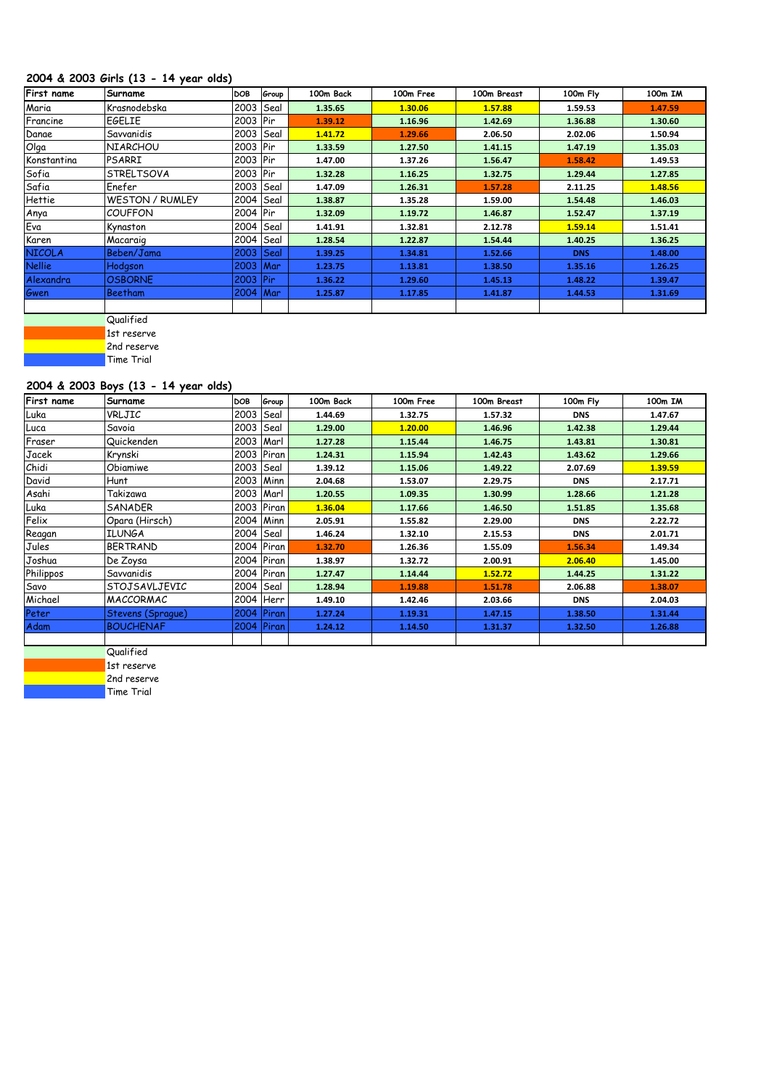## **2004 & 2003 Girls (13 - 14 year olds)**

| First name    | Surname                | DOB         | Group | 100m Back | 100m Free | 100m Breast | 100m Fly   | 100m IM |
|---------------|------------------------|-------------|-------|-----------|-----------|-------------|------------|---------|
| Maria         | Krasnodebska           | 2003   Seal |       | 1.35.65   | 1.30.06   | 1.57.88     | 1.59.53    | 1.47.59 |
| Francine      | <b>EGELIE</b>          | 2003 Pir    |       | 1.39.12   | 1.16.96   | 1.42.69     | 1.36.88    | 1.30.60 |
| Danae         | Savvanidis             | 2003   Seal |       | 1.41.72   | 1.29.66   | 2.06.50     | 2.02.06    | 1.50.94 |
| Olga          | <b>NIARCHOU</b>        | 2003 Pir    |       | 1.33.59   | 1.27.50   | 1.41.15     | 1.47.19    | 1.35.03 |
| Konstantina   | PSARRI                 | 2003   Pir  |       | 1.47.00   | 1.37.26   | 1.56.47     | 1.58.42    | 1.49.53 |
| Sofia         | <b>STRELTSOVA</b>      | 2003  Pir   |       | 1.32.28   | 1.16.25   | 1.32.75     | 1.29.44    | 1.27.85 |
| Safia         | Enefer                 | 2003   Seal |       | 1.47.09   | 1.26.31   | 1.57.28     | 2.11.25    | 1.48.56 |
| Hettie        | <b>WESTON / RUMLEY</b> | 2004 Seal   |       | 1.38.87   | 1.35.28   | 1.59.00     | 1.54.48    | 1.46.03 |
| Anya          | <b>COUFFON</b>         | 2004   Pir  |       | 1.32.09   | 1.19.72   | 1.46.87     | 1.52.47    | 1.37.19 |
| Eva           | Kynaston               | 2004   Seal |       | 1.41.91   | 1.32.81   | 2.12.78     | 1.59.14    | 1.51.41 |
| Karen         | Macaraig               | 2004 Seal   |       | 1.28.54   | 1.22.87   | 1.54.44     | 1.40.25    | 1.36.25 |
| <b>NICOLA</b> | Beben/Jama             | 2003        | Seal  | 1.39.25   | 1.34.81   | 1.52.66     | <b>DNS</b> | 1.48.00 |
| <b>Nellie</b> | Hodgson                | 2003 Mar    |       | 1.23.75   | 1.13.81   | 1.38.50     | 1.35.16    | 1.26.25 |
| Alexandra     | <b>OSBORNE</b>         | 2003   Pir  |       | 1.36.22   | 1.29.60   | 1.45.13     | 1.48.22    | 1.39.47 |
| Gwen          | Beetham                | 2004 Mar    |       | 1.25.87   | 1.17.85   | 1.41.87     | 1.44.53    | 1.31.69 |
|               |                        |             |       |           |           |             |            |         |
|               |                        |             |       |           |           |             |            |         |

**Qualified** 1st reserve

2nd reserve

**Time Trial** 

# **2004 & 2003 Boys (13 - 14 year olds)**

| <b>First name</b> | Surname           | DOB         | Group        | 100m Back | 100m Free | 100m Breast | 100m Fly   | 100m IM |
|-------------------|-------------------|-------------|--------------|-----------|-----------|-------------|------------|---------|
| Luka              | VRLJIC            | 2003        | Seal         | 1.44.69   | 1.32.75   | 1.57.32     | <b>DNS</b> | 1.47.67 |
| Luca              | Savoia            | 2003        | Seal         | 1.29.00   | 1.20.00   | 1.46.96     | 1.42.38    | 1.29.44 |
| Fraser            | Quickenden        | 2003        | Marl         | 1.27.28   | 1.15.44   | 1.46.75     | 1.43.81    | 1.30.81 |
| Jacek             | Krynski           | 2003        | Piran        | 1.24.31   | 1.15.94   | 1.42.43     | 1.43.62    | 1.29.66 |
| Chidi             | Obiamiwe          | 2003        | Seal         | 1.39.12   | 1.15.06   | 1.49.22     | 2.07.69    | 1.39.59 |
| David             | Hunt              | 2003        | Minn         | 2.04.68   | 1.53.07   | 2.29.75     | <b>DNS</b> | 2.17.71 |
| Asahi             | Takizawa          | 2003   Marl |              | 1.20.55   | 1.09.35   | 1.30.99     | 1.28.66    | 1.21.28 |
| Luka              | SANADER           | 2003 Piran  |              | 1.36.04   | 1.17.66   | 1.46.50     | 1.51.85    | 1.35.68 |
| Felix             | Opara (Hirsch)    | 2004 Minn   |              | 2.05.91   | 1.55.82   | 2.29.00     | <b>DNS</b> | 2.22.72 |
| Reagan            | <b>ILUNGA</b>     | 2004        | Seal         | 1.46.24   | 1.32.10   | 2.15.53     | <b>DNS</b> | 2.01.71 |
| Jules             | <b>BERTRAND</b>   |             | 2004 Piran   | 1.32.70   | 1.26.36   | 1.55.09     | 1.56.34    | 1.49.34 |
| Joshua            | De Zoysa          | 2004 Piran  |              | 1.38.97   | 1.32.72   | 2.00.91     | 2.06.40    | 1.45.00 |
| Philippos         | Savvanidis        | 2004 Piran  |              | 1.27.47   | 1.14.44   | 1.52.72     | 1.44.25    | 1.31.22 |
| Savo              | STOJSAVLJEVIC     | 2004        | Seal         | 1.28.94   | 1.19.88   | 1.51.78     | 2.06.88    | 1.38.07 |
| Michael           | MACCORMAC         | 2004        | Herr         | 1.49.10   | 1.42.46   | 2.03.66     | <b>DNS</b> | 2.04.03 |
| Peter             | Stevens (Sprague) | 2004 Piran  |              | 1.27.24   | 1.19.31   | 1.47.15     | 1.38.50    | 1.31.44 |
| Adam              | <b>BOUCHENAF</b>  | 2004        | <b>Piran</b> | 1.24.12   | 1.14.50   | 1.31.37     | 1.32.50    | 1.26.88 |
|                   |                   |             |              |           |           |             |            |         |

**Qualified** 1st reserve

2nd reserve